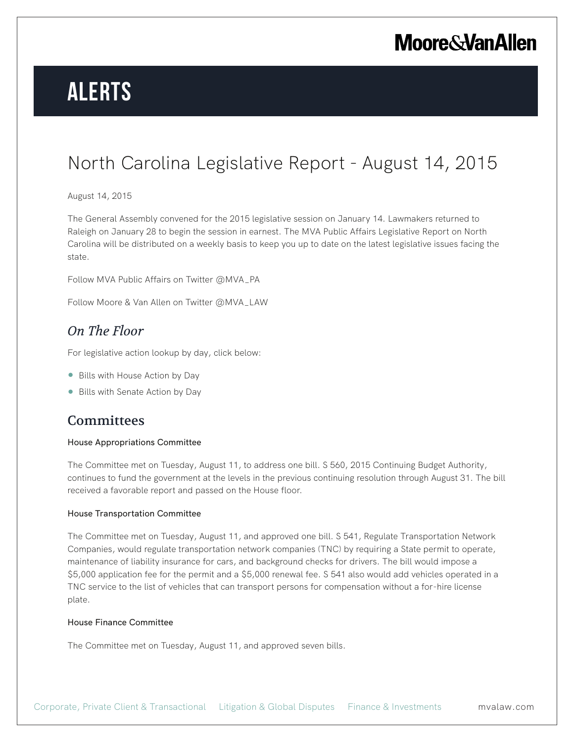# **Alerts**

### North Carolina Legislative Report - August 14, 2015

#### August 14, 2015

The General Assembly convened for the 2015 legislative session on January 14. Lawmakers returned to Raleigh on January 28 to begin the session in earnest. The MVA Public Affairs Legislative Report on North Carolina will be distributed on a weekly basis to keep you up to date on the latest legislative issues facing the state.

Follow MVA Public Affairs on Twitter @MVA\_PA

Follow Moore & Van Allen on Twitter @MVA\_LAW

### *On The Floor*

For legislative action lookup by day, click below:

- Bills with House Action by Day
- Bills with Senate Action by Day

### **Committees**

#### House Appropriations Committee

The Committee met on Tuesday, August 11, to address one bill. S 560, 2015 Continuing Budget Authority, continues to fund the government at the levels in the previous continuing resolution through August 31. The bill received a favorable report and passed on the House floor.

#### House Transportation Committee

The Committee met on Tuesday, August 11, and approved one bill. S 541, Regulate Transportation Network Companies, would regulate transportation network companies (TNC) by requiring a State permit to operate, maintenance of liability insurance for cars, and background checks for drivers. The bill would impose a \$5,000 application fee for the permit and a \$5,000 renewal fee. S 541 also would add vehicles operated in a TNC service to the list of vehicles that can transport persons for compensation without a for-hire license plate.

#### House Finance Committee

The Committee met on Tuesday, August 11, and approved seven bills.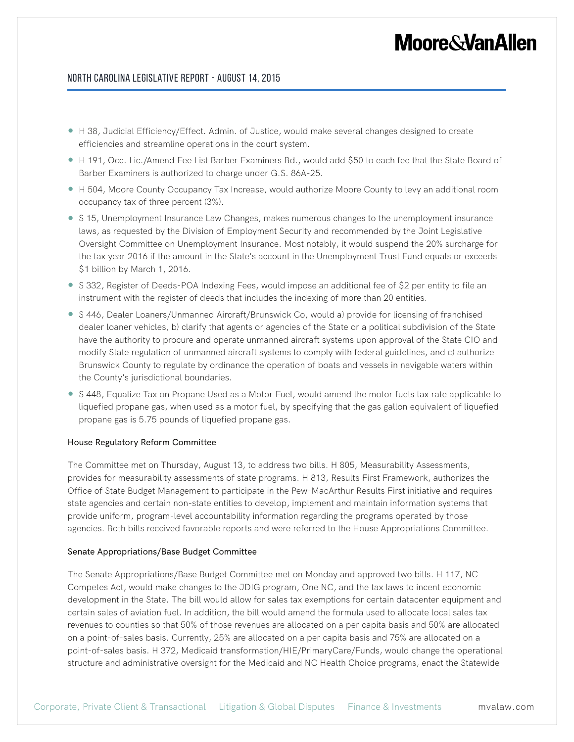#### North Carolina Legislative Report - August 14, 2015

- H 38, Judicial Efficiency/Effect. Admin. of Justice, would make several changes designed to create efficiencies and streamline operations in the court system.
- H 191, Occ. Lic./Amend Fee List Barber Examiners Bd., would add \$50 to each fee that the State Board of Barber Examiners is authorized to charge under G.S. 86A-25.
- H 504, Moore County Occupancy Tax Increase, would authorize Moore County to levy an additional room occupancy tax of three percent (3%).
- S 15, Unemployment Insurance Law Changes, makes numerous changes to the unemployment insurance laws, as requested by the Division of Employment Security and recommended by the Joint Legislative Oversight Committee on Unemployment Insurance. Most notably, it would suspend the 20% surcharge for the tax year 2016 if the amount in the State's account in the Unemployment Trust Fund equals or exceeds \$1 billion by March 1, 2016.
- S 332, Register of Deeds-POA Indexing Fees, would impose an additional fee of \$2 per entity to file an instrument with the register of deeds that includes the indexing of more than 20 entities.
- S 446, Dealer Loaners/Unmanned Aircraft/Brunswick Co, would a) provide for licensing of franchised dealer loaner vehicles, b) clarify that agents or agencies of the State or a political subdivision of the State have the authority to procure and operate unmanned aircraft systems upon approval of the State CIO and modify State regulation of unmanned aircraft systems to comply with federal guidelines, and c) authorize Brunswick County to regulate by ordinance the operation of boats and vessels in navigable waters within the County's jurisdictional boundaries.
- S 448, Equalize Tax on Propane Used as a Motor Fuel, would amend the motor fuels tax rate applicable to liquefied propane gas, when used as a motor fuel, by specifying that the gas gallon equivalent of liquefied propane gas is 5.75 pounds of liquefied propane gas.

#### House Regulatory Reform Committee

The Committee met on Thursday, August 13, to address two bills. H 805, Measurability Assessments, provides for measurability assessments of state programs. H 813, Results First Framework, authorizes the Office of State Budget Management to participate in the Pew-MacArthur Results First initiative and requires state agencies and certain non-state entities to develop, implement and maintain information systems that provide uniform, program-level accountability information regarding the programs operated by those agencies. Both bills received favorable reports and were referred to the House Appropriations Committee.

#### Senate Appropriations/Base Budget Committee

The Senate Appropriations/Base Budget Committee met on Monday and approved two bills. H 117, NC Competes Act, would make changes to the JDIG program, One NC, and the tax laws to incent economic development in the State. The bill would allow for sales tax exemptions for certain datacenter equipment and certain sales of aviation fuel. In addition, the bill would amend the formula used to allocate local sales tax revenues to counties so that 50% of those revenues are allocated on a per capita basis and 50% are allocated on a point-of-sales basis. Currently, 25% are allocated on a per capita basis and 75% are allocated on a point-of-sales basis. H 372, Medicaid transformation/HIE/PrimaryCare/Funds, would change the operational structure and administrative oversight for the Medicaid and NC Health Choice programs, enact the Statewide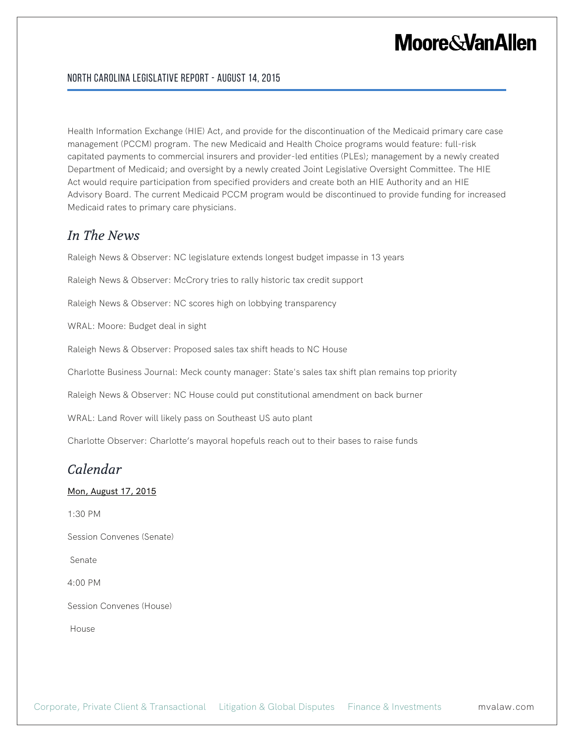#### North Carolina Legislative Report - August 14, 2015

Health Information Exchange (HIE) Act, and provide for the discontinuation of the Medicaid primary care case management (PCCM) program. The new Medicaid and Health Choice programs would feature: full-risk capitated payments to commercial insurers and provider-led entities (PLEs); management by a newly created Department of Medicaid; and oversight by a newly created Joint Legislative Oversight Committee. The HIE Act would require participation from specified providers and create both an HIE Authority and an HIE Advisory Board. The current Medicaid PCCM program would be discontinued to provide funding for increased Medicaid rates to primary care physicians.

### *In The News*

Raleigh News & Observer: NC legislature extends longest budget impasse in 13 years

Raleigh News & Observer: McCrory tries to rally historic tax credit support

Raleigh News & Observer: NC scores high on lobbying transparency

WRAL: Moore: Budget deal in sight

Raleigh News & Observer: Proposed sales tax shift heads to NC House

Charlotte Business Journal: Meck county manager: State's sales tax shift plan remains top priority

Raleigh News & Observer: NC House could put constitutional amendment on back burner

WRAL: Land Rover will likely pass on Southeast US auto plant

Charlotte Observer: Charlotte's mayoral hopefuls reach out to their bases to raise funds

### *Calendar*

#### Mon, August 17, 2015

1:30 PM

Session Convenes (Senate)

Senate

4:00 PM

Session Convenes (House)

House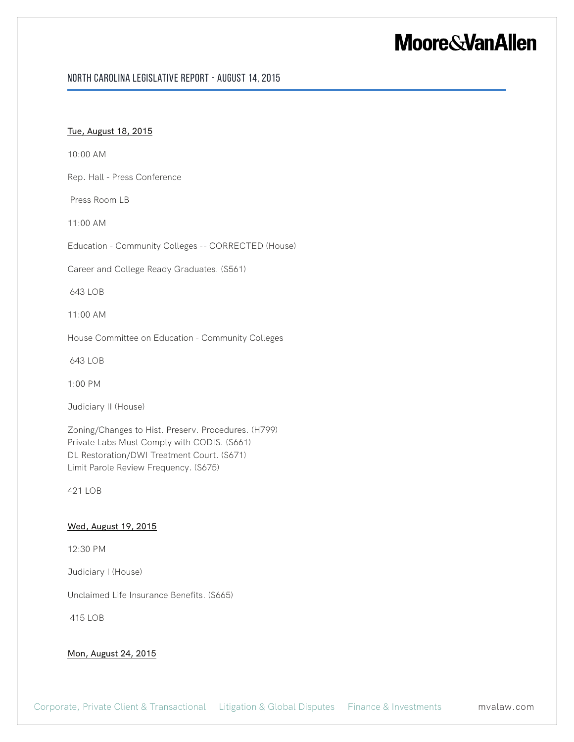#### North Carolina Legislative Report - August 14, 2015

#### Tue, August 18, 2015

10:00 AM

Rep. Hall - Press Conference

Press Room LB

11:00 AM

Education - Community Colleges -- CORRECTED (House)

Career and College Ready Graduates. (S561)

643 LOB

11:00 AM

House Committee on Education - Community Colleges

643 LOB

1:00 PM

Judiciary II (House)

Zoning/Changes to Hist. Preserv. Procedures. (H799) Private Labs Must Comply with CODIS. (S661) DL Restoration/DWI Treatment Court. (S671) Limit Parole Review Frequency. (S675)

421 LOB

#### Wed, August 19, 2015

12:30 PM

Judiciary I (House)

Unclaimed Life Insurance Benefits. (S665)

415 LOB

#### Mon, August 24, 2015